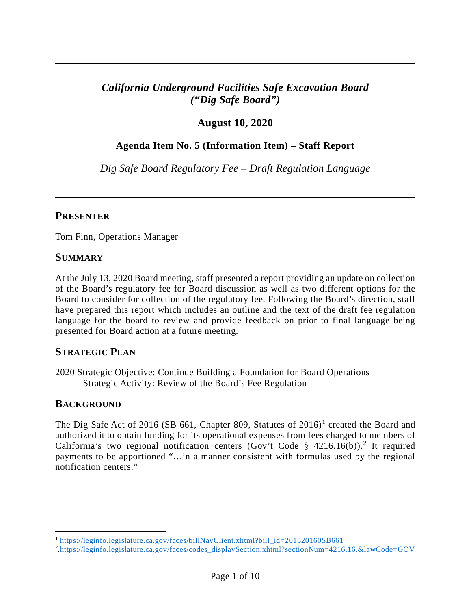# *California Underground Facilities Safe Excavation Board ("Dig Safe Board")*

## **August 10, 2020**

### **Agenda Item No. 5 (Information Item) – Staff Report**

*Dig Safe Board Regulatory Fee – Draft Regulation Language*

#### **PRESENTER**

Tom Finn, Operations Manager

#### **SUMMARY**

At the July 13, 2020 Board meeting, staff presented a report providing an update on collection of the Board's regulatory fee for Board discussion as well as two different options for the Board to consider for collection of the regulatory fee. Following the Board's direction, staff have prepared this report which includes an outline and the text of the draft fee regulation language for the board to review and provide feedback on prior to final language being presented for Board action at a future meeting.

## **STRATEGIC PLAN**

2020 Strategic Objective: Continue Building a Foundation for Board Operations Strategic Activity: Review of the Board's Fee Regulation

#### **BACKGROUND**

The Dig Safe Act of 20[1](#page-0-0)6 (SB 661, Chapter 809, Statutes of  $2016$ )<sup>1</sup> created the Board and authorized it to obtain funding for its operational expenses from fees charged to members of California's two regional notification centers (Gov't Code § 4[2](#page-0-1)16.16(b)).<sup>2</sup> It required payments to be apportioned "…in a manner consistent with formulas used by the regional notification centers."

<span id="page-0-0"></span><sup>&</sup>lt;sup>1</sup> https://leginfo.legislature.ca.gov/faces/billNavClient.xhtml?bill\_id=201520160SB661

<span id="page-0-1"></span><sup>&</sup>lt;sup>2</sup>[.https://leginfo.legislature.ca.gov/faces/codes\\_displaySection.xhtml?sectionNum=4216.16.&lawCode=GOV](https://leginfo.legislature.ca.gov/faces/codes_displaySection.xhtml?sectionNum=4216.16.&lawCode=GOV)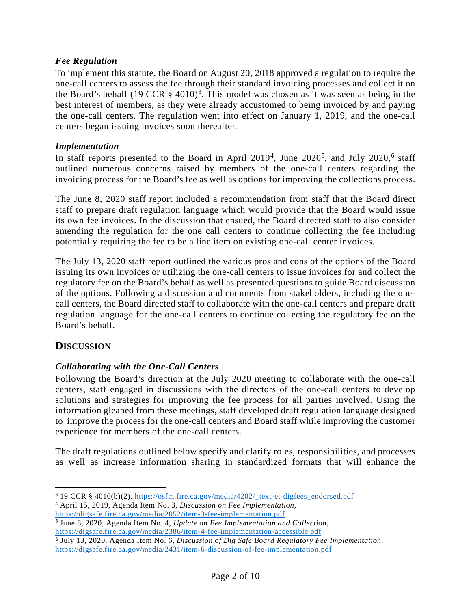### *Fee Regulation*

To implement this statute, the Board on August 20, 2018 approved a regulation to require the one-call centers to assess the fee through their standard invoicing processes and collect it on the Board's behalf (19 CCR  $\S$  4010)<sup>[3](#page-1-0)</sup>. This model was chosen as it was seen as being in the best interest of members, as they were already accustomed to being invoiced by and paying the one-call centers. The regulation went into effect on January 1, 2019, and the one-call centers began issuing invoices soon thereafter.

#### *Implementation*

In staff reports presented to the Board in April 2019<sup>[4](#page-1-1)</sup>, June 2020<sup>[5](#page-1-2)</sup>, and July 2020,<sup>[6](#page-1-3)</sup> staff outlined numerous concerns raised by members of the one-call centers regarding the invoicing process for the Board's fee as well as options for improving the collections process.

The June 8, 2020 staff report included a recommendation from staff that the Board direct staff to prepare draft regulation language which would provide that the Board would issue its own fee invoices. In the discussion that ensued, the Board directed staff to also consider amending the regulation for the one call centers to continue collecting the fee including potentially requiring the fee to be a line item on existing one-call center invoices.

The July 13, 2020 staff report outlined the various pros and cons of the options of the Board issuing its own invoices or utilizing the one-call centers to issue invoices for and collect the regulatory fee on the Board's behalf as well as presented questions to guide Board discussion of the options. Following a discussion and comments from stakeholders, including the onecall centers, the Board directed staff to collaborate with the one-call centers and prepare draft regulation language for the one-call centers to continue collecting the regulatory fee on the Board's behalf.

## **DISCUSSION**

## *Collaborating with the One-Call Centers*

Following the Board's direction at the July 2020 meeting to collaborate with the one-call centers, staff engaged in discussions with the directors of the one-call centers to develop solutions and strategies for improving the fee process for all parties involved. Using the information gleaned from these meetings, staff developed draft regulation language designed to improve the process for the one-call centers and Board staff while improving the customer experience for members of the one-call centers.

The draft regulations outlined below specify and clarify roles, responsibilities, and processes as well as increase information sharing in standardized formats that will enhance the

<span id="page-1-1"></span><https://digsafe.fire.ca.gov/media/2052/item-3-fee-implementation.pdf>

<span id="page-1-0"></span><sup>3</sup> 19 CCR § 4010(b)(2), [https://osfm.fire.ca.gov/media/4202/\\_text-et-digfees\\_endorsed.pdf](https://osfm.fire.ca.gov/media/4202/_text-et-digfees_endorsed.pdf) <sup>4</sup> April 15, 2019, Agenda Item No. 3, *Discussion on Fee Implementation,* 

<span id="page-1-2"></span><sup>5</sup> June 8, 2020, Agenda Item No. 4, *Update on Fee Implementation and Collection,*  <https://digsafe.fire.ca.gov/media/2386/item-4-fee-implementation-accessible.pdf>

<span id="page-1-3"></span><sup>6</sup> July 13, 2020, Agenda Item No. 6, *Discussion of Dig Safe Board Regulatory Fee Implementation,* <https://digsafe.fire.ca.gov/media/2431/item-6-discussion-of-fee-implementation.pdf>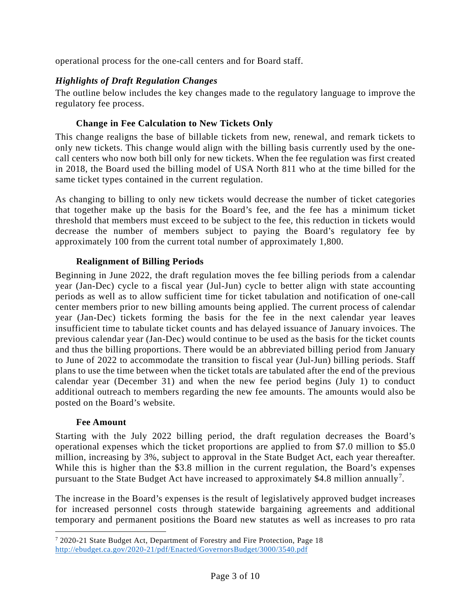operational process for the one-call centers and for Board staff.

#### *Highlights of Draft Regulation Changes*

The outline below includes the key changes made to the regulatory language to improve the regulatory fee process.

#### **Change in Fee Calculation to New Tickets Only**

This change realigns the base of billable tickets from new, renewal, and remark tickets to only new tickets. This change would align with the billing basis currently used by the onecall centers who now both bill only for new tickets. When the fee regulation was first created in 2018, the Board used the billing model of USA North 811 who at the time billed for the same ticket types contained in the current regulation.

As changing to billing to only new tickets would decrease the number of ticket categories that together make up the basis for the Board's fee, and the fee has a minimum ticket threshold that members must exceed to be subject to the fee, this reduction in tickets would decrease the number of members subject to paying the Board's regulatory fee by approximately 100 from the current total number of approximately 1,800.

### **Realignment of Billing Periods**

Beginning in June 2022, the draft regulation moves the fee billing periods from a calendar year (Jan-Dec) cycle to a fiscal year (Jul-Jun) cycle to better align with state accounting periods as well as to allow sufficient time for ticket tabulation and notification of one-call center members prior to new billing amounts being applied. The current process of calendar year (Jan-Dec) tickets forming the basis for the fee in the next calendar year leaves insufficient time to tabulate ticket counts and has delayed issuance of January invoices. The previous calendar year (Jan-Dec) would continue to be used as the basis for the ticket counts and thus the billing proportions. There would be an abbreviated billing period from January to June of 2022 to accommodate the transition to fiscal year (Jul-Jun) billing periods. Staff plans to use the time between when the ticket totals are tabulated after the end of the previous calendar year (December 31) and when the new fee period begins (July 1) to conduct additional outreach to members regarding the new fee amounts. The amounts would also be posted on the Board's website.

#### **Fee Amount**

Starting with the July 2022 billing period, the draft regulation decreases the Board's operational expenses which the ticket proportions are applied to from \$7.0 million to \$5.0 million, increasing by 3%, subject to approval in the State Budget Act, each year thereafter. While this is higher than the \$3.8 million in the current regulation, the Board's expenses pursuant to the State Budget Act have increased to approximately \$4.8 million annually<sup>[7](#page-2-0)</sup>.

The increase in the Board's expenses is the result of legislatively approved budget increases for increased personnel costs through statewide bargaining agreements and additional temporary and permanent positions the Board new statutes as well as increases to pro rata

<span id="page-2-0"></span><sup>&</sup>lt;sup>7</sup> 2020-21 State Budget Act, Department of Forestry and Fire Protection, Page 18 <http://ebudget.ca.gov/2020-21/pdf/Enacted/GovernorsBudget/3000/3540.pdf>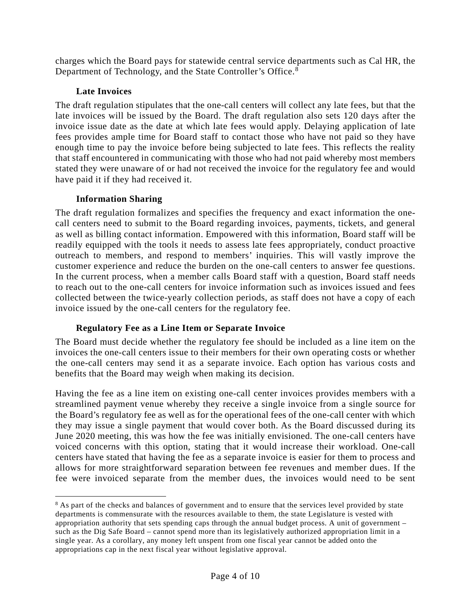charges which the Board pays for statewide central service departments such as Cal HR, the Department of Technology, and the State Controller's Office.<sup>[8](#page-3-0)</sup>

#### **Late Invoices**

The draft regulation stipulates that the one-call centers will collect any late fees, but that the late invoices will be issued by the Board. The draft regulation also sets 120 days after the invoice issue date as the date at which late fees would apply. Delaying application of late fees provides ample time for Board staff to contact those who have not paid so they have enough time to pay the invoice before being subjected to late fees. This reflects the reality that staff encountered in communicating with those who had not paid whereby most members stated they were unaware of or had not received the invoice for the regulatory fee and would have paid it if they had received it.

### **Information Sharing**

The draft regulation formalizes and specifies the frequency and exact information the onecall centers need to submit to the Board regarding invoices, payments, tickets, and general as well as billing contact information. Empowered with this information, Board staff will be readily equipped with the tools it needs to assess late fees appropriately, conduct proactive outreach to members, and respond to members' inquiries. This will vastly improve the customer experience and reduce the burden on the one-call centers to answer fee questions. In the current process, when a member calls Board staff with a question, Board staff needs to reach out to the one-call centers for invoice information such as invoices issued and fees collected between the twice-yearly collection periods, as staff does not have a copy of each invoice issued by the one-call centers for the regulatory fee.

## **Regulatory Fee as a Line Item or Separate Invoice**

The Board must decide whether the regulatory fee should be included as a line item on the invoices the one-call centers issue to their members for their own operating costs or whether the one-call centers may send it as a separate invoice. Each option has various costs and benefits that the Board may weigh when making its decision.

Having the fee as a line item on existing one-call center invoices provides members with a streamlined payment venue whereby they receive a single invoice from a single source for the Board's regulatory fee as well as for the operational fees of the one-call center with which they may issue a single payment that would cover both. As the Board discussed during its June 2020 meeting, this was how the fee was initially envisioned. The one-call centers have voiced concerns with this option, stating that it would increase their workload. One-call centers have stated that having the fee as a separate invoice is easier for them to process and allows for more straightforward separation between fee revenues and member dues. If the fee were invoiced separate from the member dues, the invoices would need to be sent

<span id="page-3-0"></span><sup>&</sup>lt;sup>8</sup> As part of the checks and balances of government and to ensure that the services level provided by state departments is commensurate with the resources available to them, the state Legislature is vested with appropriation authority that sets spending caps through the annual budget process. A unit of government – such as the Dig Safe Board – cannot spend more than its legislatively authorized appropriation limit in a single year. As a corollary, any money left unspent from one fiscal year cannot be added onto the appropriations cap in the next fiscal year without legislative approval.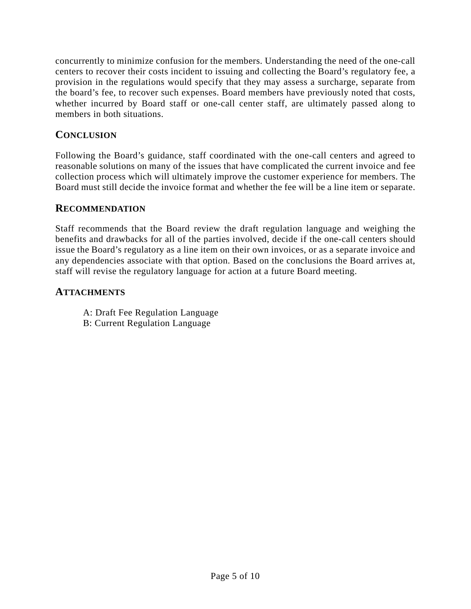concurrently to minimize confusion for the members. Understanding the need of the one-call centers to recover their costs incident to issuing and collecting the Board's regulatory fee, a provision in the regulations would specify that they may assess a surcharge, separate from the board's fee, to recover such expenses. Board members have previously noted that costs, whether incurred by Board staff or one-call center staff, are ultimately passed along to members in both situations.

## **CONCLUSION**

Following the Board's guidance, staff coordinated with the one-call centers and agreed to reasonable solutions on many of the issues that have complicated the current invoice and fee collection process which will ultimately improve the customer experience for members. The Board must still decide the invoice format and whether the fee will be a line item or separate.

## **RECOMMENDATION**

Staff recommends that the Board review the draft regulation language and weighing the benefits and drawbacks for all of the parties involved, decide if the one-call centers should issue the Board's regulatory as a line item on their own invoices, or as a separate invoice and any dependencies associate with that option. Based on the conclusions the Board arrives at, staff will revise the regulatory language for action at a future Board meeting.

## **ATTACHMENTS**

- A: Draft Fee Regulation Language
- B: Current Regulation Language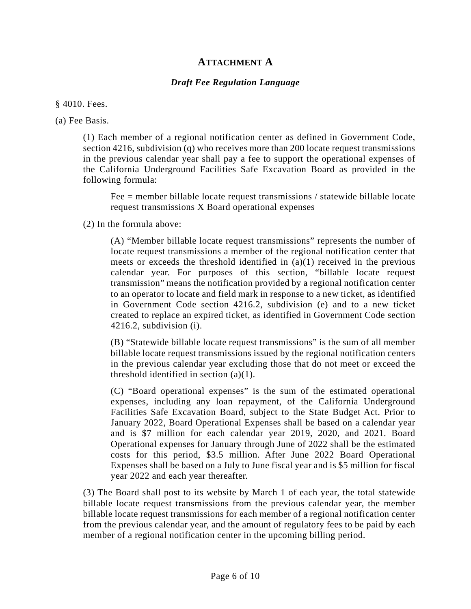#### **ATTACHMENT A**

#### *Draft Fee Regulation Language*

§ 4010. Fees.

(a) Fee Basis.

(1) Each member of a regional notification center as defined in Government Code, section 4216, subdivision (q) who receives more than 200 locate request transmissions in the previous calendar year shall pay a fee to support the operational expenses of the California Underground Facilities Safe Excavation Board as provided in the following formula:

Fee = member billable locate request transmissions / statewide billable locate request transmissions X Board operational expenses

(2) In the formula above:

(A) "Member billable locate request transmissions" represents the number of locate request transmissions a member of the regional notification center that meets or exceeds the threshold identified in  $(a)(1)$  received in the previous calendar year. For purposes of this section, "billable locate request transmission" means the notification provided by a regional notification center to an operator to locate and field mark in response to a new ticket, as identified in Government Code section 4216.2, subdivision (e) and to a new ticket created to replace an expired ticket, as identified in Government Code section 4216.2, subdivision (i).

(B) "Statewide billable locate request transmissions" is the sum of all member billable locate request transmissions issued by the regional notification centers in the previous calendar year excluding those that do not meet or exceed the threshold identified in section (a)(1).

(C) "Board operational expenses" is the sum of the estimated operational expenses, including any loan repayment, of the California Underground Facilities Safe Excavation Board, subject to the State Budget Act. Prior to January 2022, Board Operational Expenses shall be based on a calendar year and is \$7 million for each calendar year 2019, 2020, and 2021. Board Operational expenses for January through June of 2022 shall be the estimated costs for this period, \$3.5 million. After June 2022 Board Operational Expenses shall be based on a July to June fiscal year and is \$5 million for fiscal year 2022 and each year thereafter.

(3) The Board shall post to its website by March 1 of each year, the total statewide billable locate request transmissions from the previous calendar year, the member billable locate request transmissions for each member of a regional notification center from the previous calendar year, and the amount of regulatory fees to be paid by each member of a regional notification center in the upcoming billing period.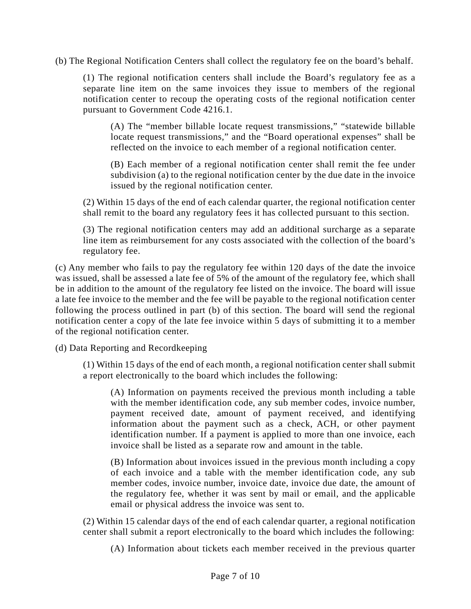(b) The Regional Notification Centers shall collect the regulatory fee on the board's behalf.

(1) The regional notification centers shall include the Board's regulatory fee as a separate line item on the same invoices they issue to members of the regional notification center to recoup the operating costs of the regional notification center pursuant to Government Code 4216.1.

(A) The "member billable locate request transmissions," "statewide billable locate request transmissions," and the "Board operational expenses" shall be reflected on the invoice to each member of a regional notification center.

(B) Each member of a regional notification center shall remit the fee under subdivision (a) to the regional notification center by the due date in the invoice issued by the regional notification center.

(2) Within 15 days of the end of each calendar quarter, the regional notification center shall remit to the board any regulatory fees it has collected pursuant to this section.

(3) The regional notification centers may add an additional surcharge as a separate line item as reimbursement for any costs associated with the collection of the board's regulatory fee.

(c) Any member who fails to pay the regulatory fee within 120 days of the date the invoice was issued, shall be assessed a late fee of 5% of the amount of the regulatory fee, which shall be in addition to the amount of the regulatory fee listed on the invoice. The board will issue a late fee invoice to the member and the fee will be payable to the regional notification center following the process outlined in part (b) of this section. The board will send the regional notification center a copy of the late fee invoice within 5 days of submitting it to a member of the regional notification center.

(d) Data Reporting and Recordkeeping

(1) Within 15 days of the end of each month, a regional notification center shall submit a report electronically to the board which includes the following:

(A) Information on payments received the previous month including a table with the member identification code, any sub member codes, invoice number, payment received date, amount of payment received, and identifying information about the payment such as a check, ACH, or other payment identification number. If a payment is applied to more than one invoice, each invoice shall be listed as a separate row and amount in the table.

(B) Information about invoices issued in the previous month including a copy of each invoice and a table with the member identification code, any sub member codes, invoice number, invoice date, invoice due date, the amount of the regulatory fee, whether it was sent by mail or email, and the applicable email or physical address the invoice was sent to.

(2) Within 15 calendar days of the end of each calendar quarter, a regional notification center shall submit a report electronically to the board which includes the following:

(A) Information about tickets each member received in the previous quarter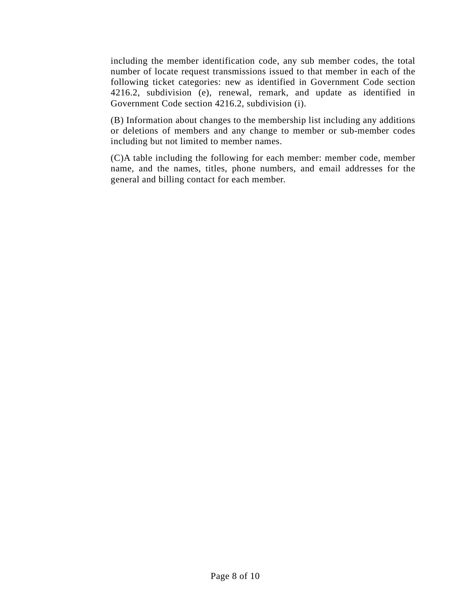including the member identification code, any sub member codes, the total number of locate request transmissions issued to that member in each of the following ticket categories: new as identified in Government Code section 4216.2, subdivision (e), renewal, remark, and update as identified in Government Code section 4216.2, subdivision (i).

(B) Information about changes to the membership list including any additions or deletions of members and any change to member or sub-member codes including but not limited to member names.

(C)A table including the following for each member: member code, member name, and the names, titles, phone numbers, and email addresses for the general and billing contact for each member.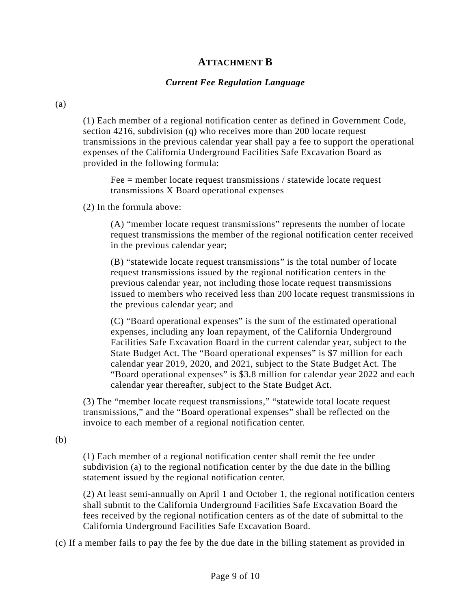### **ATTACHMENT B**

#### *Current Fee Regulation Language*

#### (a)

(1) Each member of a regional notification center as defined in Government Code, section 4216, subdivision (q) who receives more than 200 locate request transmissions in the previous calendar year shall pay a fee to support the operational expenses of the California Underground Facilities Safe Excavation Board as provided in the following formula:

Fee = member locate request transmissions / statewide locate request transmissions X Board operational expenses

(2) In the formula above:

(A) "member locate request transmissions" represents the number of locate request transmissions the member of the regional notification center received in the previous calendar year;

(B) "statewide locate request transmissions" is the total number of locate request transmissions issued by the regional notification centers in the previous calendar year, not including those locate request transmissions issued to members who received less than 200 locate request transmissions in the previous calendar year; and

(C) "Board operational expenses" is the sum of the estimated operational expenses, including any loan repayment, of the California Underground Facilities Safe Excavation Board in the current calendar year, subject to the State Budget Act. The "Board operational expenses" is \$7 million for each calendar year 2019, 2020, and 2021, subject to the State Budget Act. The "Board operational expenses" is \$3.8 million for calendar year 2022 and each calendar year thereafter, subject to the State Budget Act.

(3) The "member locate request transmissions," "statewide total locate request transmissions," and the "Board operational expenses" shall be reflected on the invoice to each member of a regional notification center.

(b)

(1) Each member of a regional notification center shall remit the fee under subdivision (a) to the regional notification center by the due date in the billing statement issued by the regional notification center.

(2) At least semi-annually on April 1 and October 1, the regional notification centers shall submit to the California Underground Facilities Safe Excavation Board the fees received by the regional notification centers as of the date of submittal to the California Underground Facilities Safe Excavation Board.

(c) If a member fails to pay the fee by the due date in the billing statement as provided in